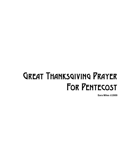## Great Thanksgiving Prayer FOR PENTECOST

**Sara Miles** ©**2009**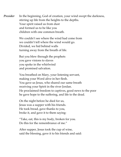*Presider* In the beginning, God of creation, your wind swept the darkness, stirring up life from the heights to the depths. Your spirit raised us from dust and formed us to be like you children with one common breath.

> We couldn't see where the wind had come from we couldn't tell where the wind would go. Divided, we hid behind walls turning away from the breath of life.

But you blew through the prophets you gave visions to slaves you spoke in the whirlwind and promised salvation.

You breathed on Mary, your listening servant, making your Word alive in her flesh. You gave us Jesus, who shared our same breath receiving your Spirit in the river Jordan. He proclaimed freedom to captives, good news to the poor he gave hope to the suffering, and life to the dead.

On the night before he died for us, Jesus was a supper with his friends. He took bread, gave thanks to you, broke it, and gave it to them saying:

"Take, eat, this is my body, broken for you. Do this for the remembrance of me."

After supper, Jesus took the cup of wine, said the blessing, gave it to his friends and said: